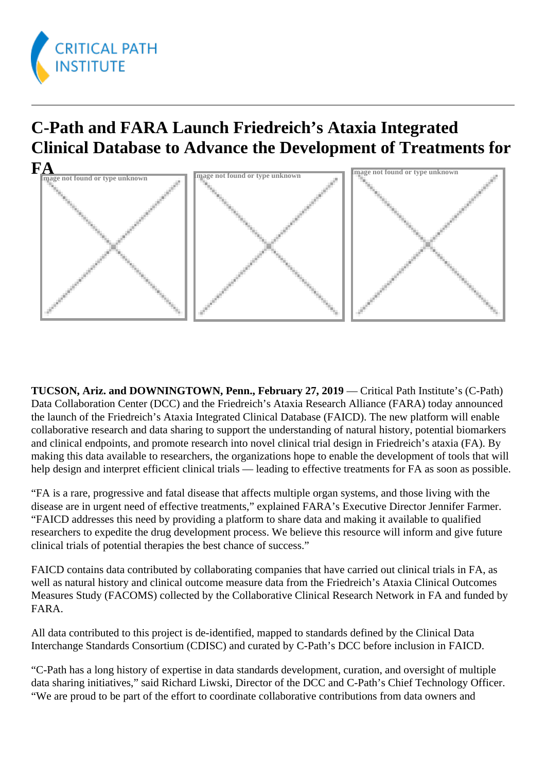

## **C-Path and FARA Launch Friedreich's Ataxia Integrated Clinical Database to Advance the Development of Treatments for**



**TUCSON, Ariz. and DOWNINGTOWN, Penn., February 27, 2019** — Critical Path Institute's (C-Path) Data Collaboration Center (DCC) and the Friedreich's Ataxia Research Alliance (FARA) today announced the launch of the Friedreich's Ataxia Integrated Clinical Database (FAICD). The new platform will enable collaborative research and data sharing to support the understanding of natural history, potential biomarkers and clinical endpoints, and promote research into novel clinical trial design in Friedreich's ataxia (FA). By making this data available to researchers, the organizations hope to enable the development of tools that will help design and interpret efficient clinical trials — leading to effective treatments for FA as soon as possible.

"FA is a rare, progressive and fatal disease that affects multiple organ systems, and those living with the disease are in urgent need of effective treatments," explained FARA's Executive Director Jennifer Farmer. "FAICD addresses this need by providing a platform to share data and making it available to qualified researchers to expedite the drug development process. We believe this resource will inform and give future clinical trials of potential therapies the best chance of success."

FAICD contains data contributed by collaborating companies that have carried out clinical trials in FA, as well as natural history and clinical outcome measure data from the Friedreich's Ataxia Clinical Outcomes Measures Study (FACOMS) collected by the Collaborative Clinical Research Network in FA and funded by FARA.

All data contributed to this project is de-identified, mapped to standards defined by the Clinical Data Interchange Standards Consortium (CDISC) and curated by C-Path's DCC before inclusion in FAICD.

"C-Path has a long history of expertise in data standards development, curation, and oversight of multiple data sharing initiatives," said Richard Liwski, Director of the DCC and C-Path's Chief Technology Officer. "We are proud to be part of the effort to coordinate collaborative contributions from data owners and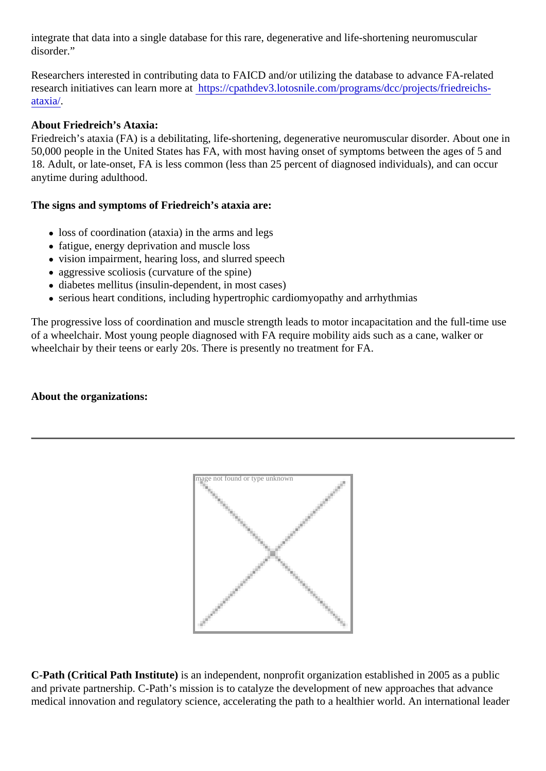integrate that data into a single database for this rare, degenerative and life-shortening neuromuscular disorder."

Researchers interested in contributing data to FAICD and/or utilizing the database to advance FA-related research initiatives can learn morelatps://cpathdev3.lotosnile.com/programs/dcc/projects/friedreichs[ataxia](https://cpathdev3.lotosnile.com/programs/dcc/projects/friedreichs-ataxia/)/.

## About Friedreich's Ataxia:

Friedreich's ataxia (FA) is a debilitating, life-shortening, degenerative neuromuscular disorder. About one 50,000 people in the United States has FA, with most having onset of symptoms between the ages of 5 ard 18. Adult, or late-onset, FA is less common (less than 25 percent of diagnosed individuals), and can occur anytime during adulthood.

The signs and symptoms of Friedreich's ataxia are:

- loss of coordination (ataxia) in the arms and legs
- fatigue, energy deprivation and muscle loss
- vision impairment, hearing loss, and slurred speech
- aggressive scoliosis (curvature of the spine)
- diabetes mellitus (insulin-dependent, in most cases)
- serious heart conditions, including hypertrophic cardiomyopathy and arrhythmias

The progressive loss of coordination and muscle strength leads to motor incapacitation and the full-time use of a wheelchair. Most young people diagnosed with FA require mobility aids such as a cane, walker or wheelchair by their teens or early 20s. There is presently no treatment for FA.

About the organizations:

Image not found or type unknown

C-Path (Critical Path Institute) is an independent, nonprofit organization established in 2005 as a public and private partnership. C-Path's mission is to catalyze the development of new approaches that advance medical innovation and regulatory science, accelerating the path to a healthier world. An international lead